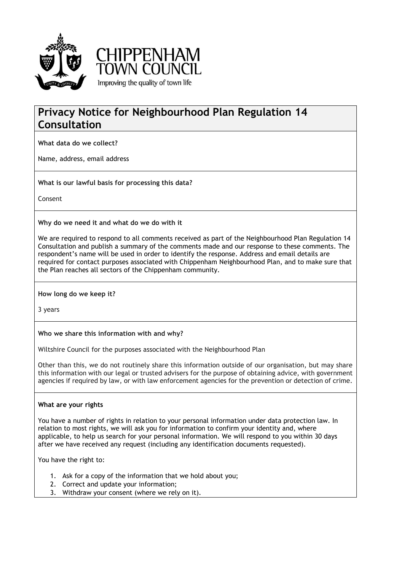



# **Privacy Notice for Neighbourhood Plan Regulation 14 Consultation**

**What data do we collect?**

Name, address, email address

**What is our lawful basis for processing this data?**

Consent

**Why do we need it and what do we do with it**

We are required to respond to all comments received as part of the Neighbourhood Plan Regulation 14 Consultation and publish a summary of the comments made and our response to these comments. The respondent's name will be used in order to identify the response. Address and email details are required for contact purposes associated with Chippenham Neighbourhood Plan, and to make sure that the Plan reaches all sectors of the Chippenham community.

## **How long do we keep it?**

3 years

## **Who we share this information with and why?**

Wiltshire Council for the purposes associated with the Neighbourhood Plan

Other than this, we do not routinely share this information outside of our organisation, but may share this information with our legal or trusted advisers for the purpose of obtaining advice, with government agencies if required by law, or with law enforcement agencies for the prevention or detection of crime.

## **What are your rights**

You have a number of rights in relation to your personal information under data protection law. In relation to most rights, we will ask you for information to confirm your identity and, where applicable, to help us search for your personal information. We will respond to you within 30 days after we have received any request (including any identification documents requested).

You have the right to:

- 1. Ask for a copy of the information that we hold about you;
- 2. Correct and update your information;
- 3. Withdraw your consent (where we rely on it).